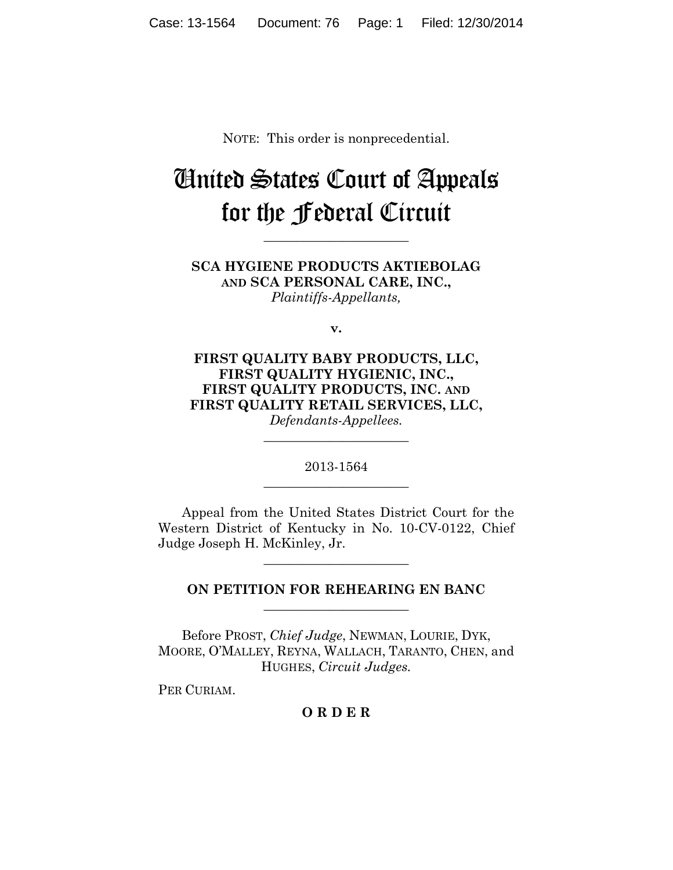NOTE: This order is nonprecedential.

## United States Court of Appeals for the Federal Circuit

**\_\_\_\_\_\_\_\_\_\_\_\_\_\_\_\_\_\_\_\_\_\_**

**SCA HYGIENE PRODUCTS AKTIEBOLAG AND SCA PERSONAL CARE, INC.,** *Plaintiffs-Appellants,*

**v.**

**FIRST QUALITY BABY PRODUCTS, LLC, FIRST QUALITY HYGIENIC, INC., FIRST QUALITY PRODUCTS, INC. AND FIRST QUALITY RETAIL SERVICES, LLC,** *Defendants-Appellees.*

> 2013-1564 **\_\_\_\_\_\_\_\_\_\_\_\_\_\_\_\_\_\_\_\_\_\_**

> **\_\_\_\_\_\_\_\_\_\_\_\_\_\_\_\_\_\_\_\_\_\_**

Appeal from the United States District Court for the Western District of Kentucky in No. 10-CV-0122, Chief Judge Joseph H. McKinley, Jr.

## **ON PETITION FOR REHEARING EN BANC \_\_\_\_\_\_\_\_\_\_\_\_\_\_\_\_\_\_\_\_\_\_**

**\_\_\_\_\_\_\_\_\_\_\_\_\_\_\_\_\_\_\_\_\_\_**

Before PROST, *Chief Judge*, NEWMAN, LOURIE, DYK, MOORE, O'MALLEY, REYNA, WALLACH, TARANTO, CHEN, and HUGHES, *Circuit Judges.*

PER CURIAM.

## **O R D E R**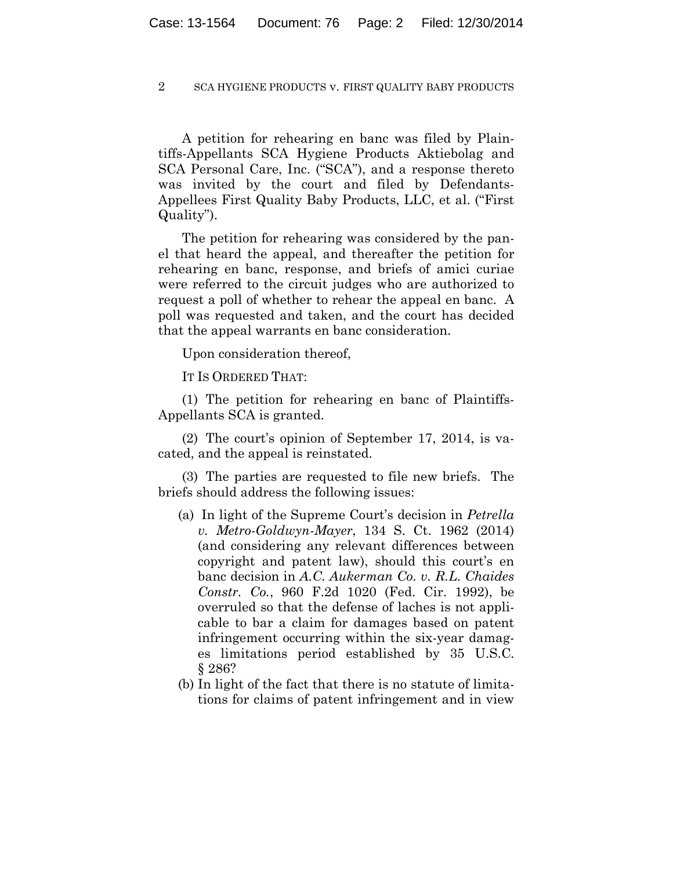2 SCA HYGIENE PRODUCTS v. FIRST QUALITY BABY PRODUCTS

A petition for rehearing en banc was filed by Plaintiffs-Appellants SCA Hygiene Products Aktiebolag and SCA Personal Care, Inc. ("SCA"), and a response thereto was invited by the court and filed by Defendants-Appellees First Quality Baby Products, LLC, et al. ("First Quality").

The petition for rehearing was considered by the panel that heard the appeal, and thereafter the petition for rehearing en banc, response, and briefs of amici curiae were referred to the circuit judges who are authorized to request a poll of whether to rehear the appeal en banc. A poll was requested and taken, and the court has decided that the appeal warrants en banc consideration.

Upon consideration thereof,

IT IS ORDERED THAT:

(1) The petition for rehearing en banc of Plaintiffs-Appellants SCA is granted.

(2) The court's opinion of September 17, 2014, is vacated, and the appeal is reinstated.

(3) The parties are requested to file new briefs. The briefs should address the following issues:

- (a) In light of the Supreme Court's decision in *Petrella v. Metro-Goldwyn-Mayer*, 134 S. Ct. 1962 (2014) (and considering any relevant differences between copyright and patent law), should this court's en banc decision in *A.C. Aukerman Co. v. R.L. Chaides Constr. Co.*, 960 F.2d 1020 (Fed. Cir. 1992), be overruled so that the defense of laches is not applicable to bar a claim for damages based on patent infringement occurring within the six-year damages limitations period established by 35 U.S.C. § 286?
- (b) In light of the fact that there is no statute of limitations for claims of patent infringement and in view